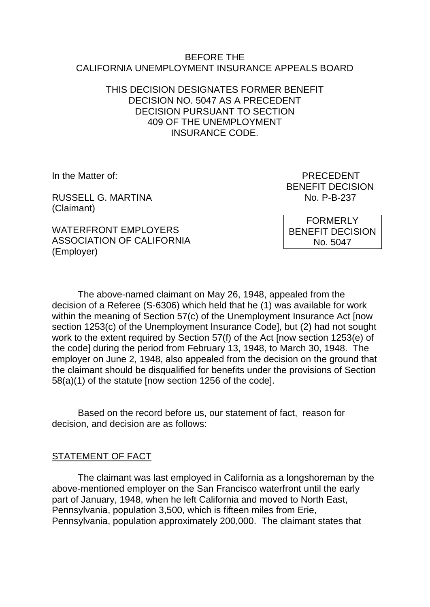#### BEFORE THE CALIFORNIA UNEMPLOYMENT INSURANCE APPEALS BOARD

### THIS DECISION DESIGNATES FORMER BENEFIT DECISION NO. 5047 AS A PRECEDENT DECISION PURSUANT TO SECTION 409 OF THE UNEMPLOYMENT INSURANCE CODE.

RUSSELL G. MARTINA NO. P-B-237 (Claimant)

WATERFRONT EMPLOYERS ASSOCIATION OF CALIFORNIA (Employer)

In the Matter of: PRECEDENT BENEFIT DECISION

> FORMERLY BENEFIT DECISION No. 5047

The above-named claimant on May 26, 1948, appealed from the decision of a Referee (S-6306) which held that he (1) was available for work within the meaning of Section 57(c) of the Unemployment Insurance Act [now section 1253(c) of the Unemployment Insurance Code], but (2) had not sought work to the extent required by Section 57(f) of the Act [now section 1253(e) of the code] during the period from February 13, 1948, to March 30, 1948. The employer on June 2, 1948, also appealed from the decision on the ground that the claimant should be disqualified for benefits under the provisions of Section 58(a)(1) of the statute [now section 1256 of the code].

Based on the record before us, our statement of fact, reason for decision, and decision are as follows:

#### STATEMENT OF FACT

The claimant was last employed in California as a longshoreman by the above-mentioned employer on the San Francisco waterfront until the early part of January, 1948, when he left California and moved to North East, Pennsylvania, population 3,500, which is fifteen miles from Erie, Pennsylvania, population approximately 200,000. The claimant states that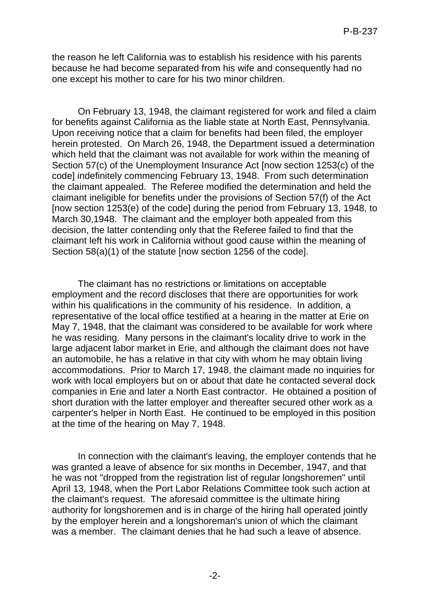the reason he left California was to establish his residence with his parents because he had become separated from his wife and consequently had no one except his mother to care for his two minor children.

On February 13, 1948, the claimant registered for work and filed a claim for benefits against California as the liable state at North East, Pennsylvania. Upon receiving notice that a claim for benefits had been filed, the employer herein protested. On March 26, 1948, the Department issued a determination which held that the claimant was not available for work within the meaning of Section 57(c) of the Unemployment Insurance Act [now section 1253(c) of the code] indefinitely commencing February 13, 1948. From such determination the claimant appealed. The Referee modified the determination and held the claimant ineligible for benefits under the provisions of Section 57(f) of the Act [now section 1253(e) of the code] during the period from February 13, 1948, to March 30,1948. The claimant and the employer both appealed from this decision, the latter contending only that the Referee failed to find that the claimant left his work in California without good cause within the meaning of Section 58(a)(1) of the statute [now section 1256 of the code].

The claimant has no restrictions or limitations on acceptable employment and the record discloses that there are opportunities for work within his qualifications in the community of his residence. In addition, a representative of the local office testified at a hearing in the matter at Erie on May 7, 1948, that the claimant was considered to be available for work where he was residing. Many persons in the claimant's locality drive to work in the large adjacent labor market in Erie, and although the claimant does not have an automobile, he has a relative in that city with whom he may obtain living accommodations. Prior to March 17, 1948, the claimant made no inquiries for work with local employers but on or about that date he contacted several dock companies in Erie and later a North East contractor. He obtained a position of short duration with the latter employer and thereafter secured other work as a carpenter's helper in North East. He continued to be employed in this position at the time of the hearing on May 7, 1948.

In connection with the claimant's leaving, the employer contends that he was granted a leave of absence for six months in December, 1947, and that he was not "dropped from the registration list of regular longshoremen" until April 13, 1948, when the Port Labor Relations Committee took such action at the claimant's request. The aforesaid committee is the ultimate hiring authority for longshoremen and is in charge of the hiring hall operated jointly by the employer herein and a longshoreman's union of which the claimant was a member. The claimant denies that he had such a leave of absence.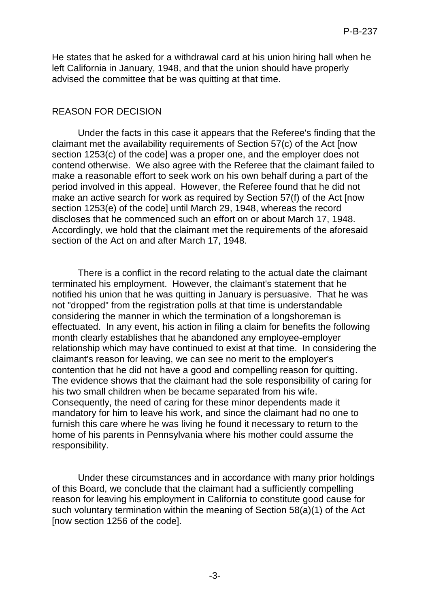He states that he asked for a withdrawal card at his union hiring hall when he left California in January, 1948, and that the union should have properly advised the committee that be was quitting at that time.

### REASON FOR DECISION

Under the facts in this case it appears that the Referee's finding that the claimant met the availability requirements of Section 57(c) of the Act [now section 1253(c) of the code] was a proper one, and the employer does not contend otherwise. We also agree with the Referee that the claimant failed to make a reasonable effort to seek work on his own behalf during a part of the period involved in this appeal. However, the Referee found that he did not make an active search for work as required by Section 57(f) of the Act [now section 1253(e) of the code] until March 29, 1948, whereas the record discloses that he commenced such an effort on or about March 17, 1948. Accordingly, we hold that the claimant met the requirements of the aforesaid section of the Act on and after March 17, 1948.

There is a conflict in the record relating to the actual date the claimant terminated his employment. However, the claimant's statement that he notified his union that he was quitting in January is persuasive. That he was not "dropped" from the registration polls at that time is understandable considering the manner in which the termination of a longshoreman is effectuated. In any event, his action in filing a claim for benefits the following month clearly establishes that he abandoned any employee-employer relationship which may have continued to exist at that time. In considering the claimant's reason for leaving, we can see no merit to the employer's contention that he did not have a good and compelling reason for quitting. The evidence shows that the claimant had the sole responsibility of caring for his two small children when be became separated from his wife. Consequently, the need of caring for these minor dependents made it mandatory for him to leave his work, and since the claimant had no one to furnish this care where he was living he found it necessary to return to the home of his parents in Pennsylvania where his mother could assume the responsibility.

Under these circumstances and in accordance with many prior holdings of this Board, we conclude that the claimant had a sufficiently compelling reason for leaving his employment in California to constitute good cause for such voluntary termination within the meaning of Section 58(a)(1) of the Act [now section 1256 of the code].